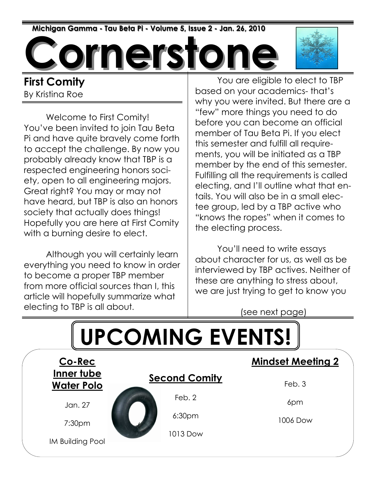Michigan Gamma - Tau Beta Pi - Volume 5, Issue 2 - Jan. 26, 2010

ornersto

#### First Comity By Kristina Roe

 Welcome to First Comity! You've been invited to join Tau Beta Pi and have quite bravely come forth to accept the challenge. By now you probably already know that TBP is a respected engineering honors society, open to all engineering majors. Great right? You may or may not have heard, but TBP is also an honors society that actually does things! Hopefully you are here at First Comity with a burning desire to elect.

 Although you will certainly learn everything you need to know in order to become a proper TBP member from more official sources than I, this article will hopefully summarize what electing to TBP is all about.

 You are eligible to elect to TBP based on your academics- that's why you were invited. But there are a "few" more things you need to do before you can become an official member of Tau Beta Pi. If you elect this semester and fulfill all requirements, you will be initiated as a TBP member by the end of this semester. Fulfilling all the requirements is called electing, and I'll outline what that entails. You will also be in a small electee group, led by a TBP active who "knows the ropes" when it comes to the electing process.

 You'll need to write essays about character for us, as well as be interviewed by TBP actives. Neither of these are anything to stress about, we are just trying to get to know you

(see next page)

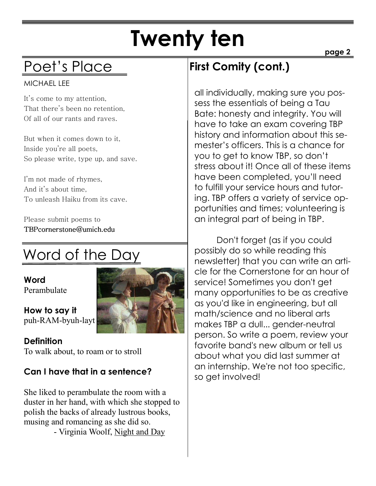# Twenty ten

### Poet's Place

#### MICHAEL LEE

It's come to my attention, That there's been no retention, Of all of our rants and raves.

But when it comes down to it, Inside you're all poets, So please write, type up, and save.

I'm not made of rhymes, And it's about time, To unleash Haiku from its cave.

Please submit poems to TBPcornerstone@umich.edu TBPcornerstone@umich.edu

## Word of the Day

Word Perambulate

**Definition** 

How to say it puh-RAM-byuh-layt



To walk about, to roam or to stroll

#### Can I have that in a sentence?

She liked to perambulate the room with a duster in her hand, with which she stopped to polish the backs of already lustrous books, musing and romancing as she did so.

- Virginia Woolf, Night and Day

#### First Comity (cont.)

all individually, making sure you possess the essentials of being a Tau Bate: honesty and integrity. You will have to take an exam covering TBP history and information about this semester's officers. This is a chance for you to get to know TBP, so don't stress about it! Once all of these items have been completed, you'll need to fulfill your service hours and tutoring. TBP offers a variety of service opportunities and times; volunteering is an integral part of being in TBP.

 Don't forget (as if you could possibly do so while reading this newsletter) that you can write an article for the Cornerstone for an hour of service! Sometimes you don't get many opportunities to be as creative as you'd like in engineering, but all math/science and no liberal arts makes TBP a dull... gender-neutral person. So write a poem, review your favorite band's new album or tell us about what you did last summer at an internship. We're not too specific, so get involved!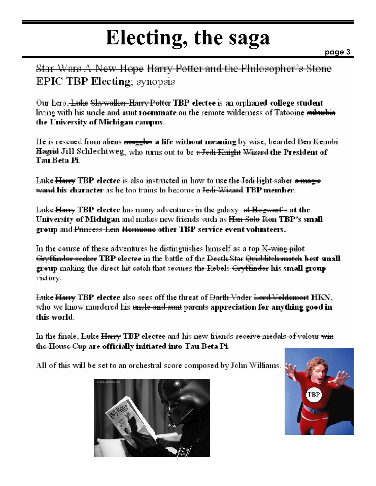# Electing, the saga

Star Wars A New Hope Harry Potter and the Philosopher's Stone **EPIC TBP Electing**, synopsis

Our hero, Luke Skywalker Harry Potter TBP electee is an orphaned college student living with his <del>uncle and aunt</del> roommate on the remote wilderness of <del>Tatooine suburbia</del> the University of Michigan campus.

He is rescued from <del>aliens muggles</del> a life without meaning by wise, bearded <del>Ben Kenobi</del> <del>Hagrid</del> Jill Schlechtweg, who turns out to be <del>a Jedi Knight Wizard</del> the President of Tau Beta Pi.

Luke Harry TBP electee is also instructed in how to use the Jedi light saber a magie <del>wand</del> his character as he too trains to become a <del>Jedi Wizard</del> TBP member.

Luke Harry TBP electee has many adventures in the galaxy- at Hogwart's at the University of Michigan and makes new friends such as <del>Han Solo Ron</del> TBP's small group and Princess Leia Hermione other TBP service event volunteers.

In the course of these adventures he distinguishes himself as a top  $X$ -wing pilot <del>Gryffindor secker</del> TBP electee in the battle of the <del>Death Star Quidditch match</del> best small group making the direct hit catch that secures the Rebels-Gryffindor his small group victory.

Luke Harry TBP electee also sees off the threat of Darth Vader Lord Voldemort HKN, who we know murdered his <del>uncle and aunt parents</del> appreciation for anything good in this world.

In the finale, Luke Harry TBP electee and his new friends receive medals of valour win <del>the House Cup</del> are officially initiated into Tau Beta Pi.

All of this will be set to an orchestral score composed by John Williams.



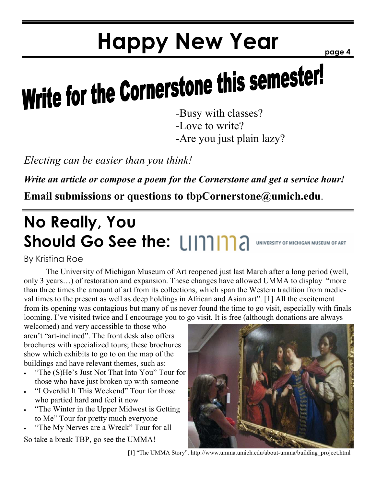# Happy New Year

page 4

# Write for the Cornerstone this semester!

-Love to write?

-Are you just plain lazy?

Electing can be easier than you think!

Write an article or compose a poem for the Cornerstone and get a service hour!

Email submissions or questions to tbpCornerstone@umich.edu.

## No Really, You Should Go See the: [1111112 UNIVERSITY OF MICHIGAN MUSEUM OF ART

#### By Kristina Roe

 The University of Michigan Museum of Art reopened just last March after a long period (well, only 3 years…) of restoration and expansion. These changes have allowed UMMA to display "more than three times the amount of art from its collections, which span the Western tradition from medieval times to the present as well as deep holdings in African and Asian art". [1] All the excitement from its opening was contagious but many of us never found the time to go visit, especially with finals looming. I've visited twice and I encourage you to go visit. It is free (although donations are always

welcomed) and very accessible to those who aren't "art-inclined". The front desk also offers brochures with specialized tours; these brochures show which exhibits to go to on the map of the buildings and have relevant themes, such as:

- "The (S)He's Just Not That Into You" Tour for those who have just broken up with someone
- "I Overdid It This Weekend" Tour for those who partied hard and feel it now
- "The Winter in the Upper Midwest is Getting" to Me" Tour for pretty much everyone
- "The My Nerves are a Wreck" Tour for all

So take a break TBP, go see the UMMA!



[1] "The UMMA Story". http://www.umma.umich.edu/about-umma/building\_project.html